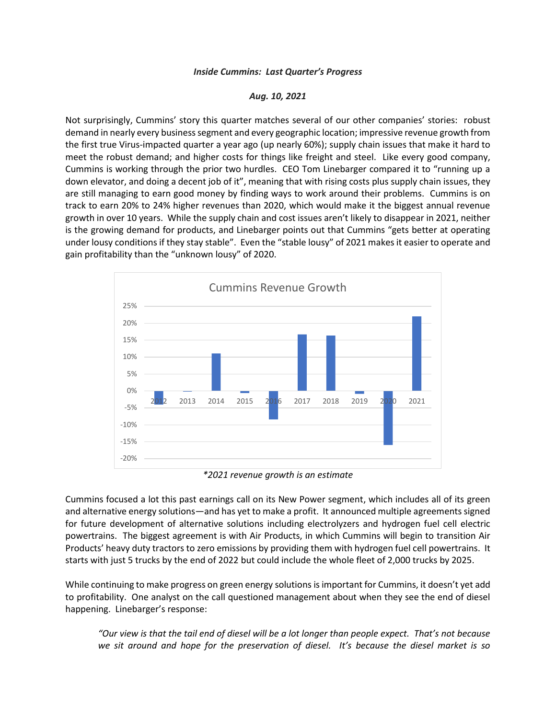## *Inside Cummins: Last Quarter's Progress*

## *Aug. 10, 2021*

Not surprisingly, Cummins' story this quarter matches several of our other companies' stories: robust demand in nearly every business segment and every geographic location; impressive revenue growth from the first true Virus-impacted quarter a year ago (up nearly 60%); supply chain issues that make it hard to meet the robust demand; and higher costs for things like freight and steel. Like every good company, Cummins is working through the prior two hurdles. CEO Tom Linebarger compared it to "running up a down elevator, and doing a decent job of it", meaning that with rising costs plus supply chain issues, they are still managing to earn good money by finding ways to work around their problems. Cummins is on track to earn 20% to 24% higher revenues than 2020, which would make it the biggest annual revenue growth in over 10 years. While the supply chain and cost issues aren't likely to disappear in 2021, neither is the growing demand for products, and Linebarger points out that Cummins "gets better at operating under lousy conditions if they stay stable". Even the "stable lousy" of 2021 makes it easier to operate and gain profitability than the "unknown lousy" of 2020.



*\*2021 revenue growth is an estimate*

Cummins focused a lot this past earnings call on its New Power segment, which includes all of its green and alternative energy solutions—and has yet to make a profit. It announced multiple agreements signed for future development of alternative solutions including electrolyzers and hydrogen fuel cell electric powertrains. The biggest agreement is with Air Products, in which Cummins will begin to transition Air Products' heavy duty tractors to zero emissions by providing them with hydrogen fuel cell powertrains. It starts with just 5 trucks by the end of 2022 but could include the whole fleet of 2,000 trucks by 2025.

While continuing to make progress on green energy solutions is important for Cummins, it doesn't yet add to profitability. One analyst on the call questioned management about when they see the end of diesel happening. Linebarger's response:

*"Our view is that the tail end of diesel will be a lot longer than people expect. That's not because we sit around and hope for the preservation of diesel. It's because the diesel market is so*